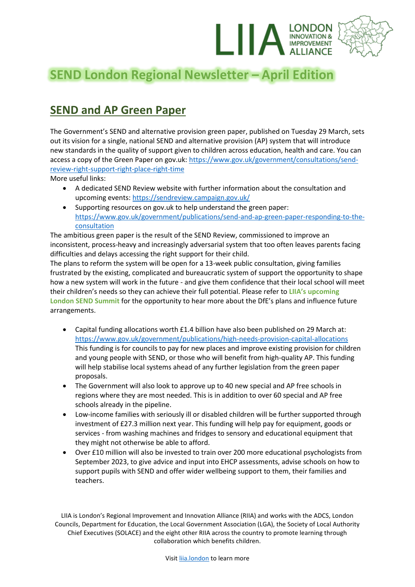

# **SEND London Regional Newsletter – April Edition**

## **SEND and AP Green Paper**

The Government's SEND and alternative provision green paper, published on Tuesday 29 March, sets out its vision for a single, national SEND and alternative provision (AP) system that will introduce new standards in the quality of support given to children across education, health and care. You can access a copy of the Green Paper on gov.uk: [https://www.gov.uk/government/consultations/send](https://www.gov.uk/government/consultations/send-review-right-support-right-place-right-time)[review-right-support-right-place-right-time](https://www.gov.uk/government/consultations/send-review-right-support-right-place-right-time)

More useful links:

- A dedicated SEND Review website with further information about the consultation and upcoming events:<https://sendreview.campaign.gov.uk/>
- Supporting resources on gov.uk to help understand the green paper: [https://www.gov.uk/government/publications/send-and-ap-green-paper-responding-to-the](https://www.gov.uk/government/publications/send-and-ap-green-paper-responding-to-the-consultation)[consultation](https://www.gov.uk/government/publications/send-and-ap-green-paper-responding-to-the-consultation)

The ambitious green paper is the result of the SEND Review, commissioned to improve an inconsistent, process-heavy and increasingly adversarial system that too often leaves parents facing difficulties and delays accessing the right support for their child.

The plans to reform the system will be open for a 13-week public consultation, giving families frustrated by the existing, complicated and bureaucratic system of support the opportunity to shape how a new system will work in the future - and give them confidence that their local school will meet their children's needs so they can achieve their full potential. Please refer to **LIIA's upcoming London SEND Summit** for the opportunity to hear more about the DfE's plans and influence future arrangements.

- Capital funding allocations worth £1.4 billion have also been published on 29 March at: <https://www.gov.uk/government/publications/high-needs-provision-capital-allocations> This funding is for councils to pay for new places and improve existing provision for children and young people with SEND, or those who will benefit from high-quality AP. This funding will help stabilise local systems ahead of any further legislation from the green paper proposals.
- The Government will also look to approve up to 40 new special and AP free schools in regions where they are most needed. This is in addition to over 60 special and AP free schools already in the pipeline.
- Low-income families with seriously ill or disabled children will be further supported through investment of £27.3 million next year. This funding will help pay for equipment, goods or services - from washing machines and fridges to sensory and educational equipment that they might not otherwise be able to afford.
- Over £10 million will also be invested to train over 200 more educational psychologists from September 2023, to give advice and input into EHCP assessments, advise schools on how to support pupils with SEND and offer wider wellbeing support to them, their families and teachers.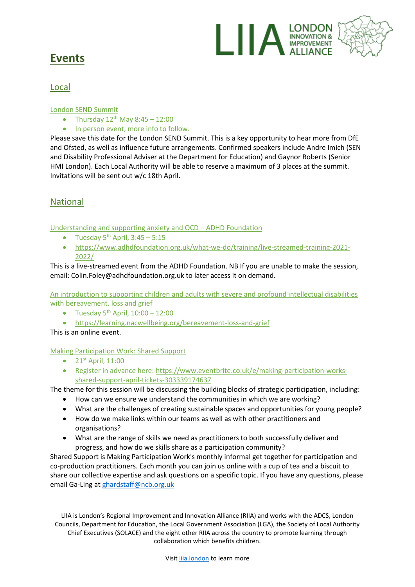

## **Events**

## Local

#### London SEND Summit

- Thursday  $12^{th}$  May  $8:45 12:00$
- In person event, more info to follow.

Please save this date for the London SEND Summit. This is a key opportunity to hear more from DfE and Ofsted, as well as influence future arrangements. Confirmed speakers include Andre Imich (SEN and Disability Professional Adviser at the Department for Education) and Gaynor Roberts (Senior HMI London). Each Local Authority will be able to reserve a maximum of 3 places at the summit. Invitations will be sent out w/c 18th April.

## National

Understanding and supporting anxiety and OCD – ADHD Foundation

- Tuesday  $5^{th}$  April,  $3:45 5:15$
- [https://www.adhdfoundation.org.uk/what-we-do/training/live-streamed-training-2021-](https://www.adhdfoundation.org.uk/what-we-do/training/live-streamed-training-2021-2022/) [2022/](https://www.adhdfoundation.org.uk/what-we-do/training/live-streamed-training-2021-2022/)

This is a live-streamed event from the ADHD Foundation. NB If you are unable to make the session, email: Colin.Foley@adhdfoundation.org.uk to later access it on demand.

An introduction to supporting children and adults with severe and profound intellectual disabilities with bereavement, loss and grief

- Tuesday  $5^{th}$  April,  $10:00 12:00$
- <https://learning.nacwellbeing.org/bereavement-loss-and-grief>

This is an online event.

#### Making Participation Work: Shared Support

- $21^{st}$  April, 11:00
- Register in advance here: [https://www.eventbrite.co.uk/e/making-participation-works](https://www.eventbrite.co.uk/e/making-participation-works-shared-support-april-tickets-303339174637)[shared-support-april-tickets-303339174637](https://www.eventbrite.co.uk/e/making-participation-works-shared-support-april-tickets-303339174637)

The theme for this session will be discussing the building blocks of strategic participation, including:

- How can we ensure we understand the communities in which we are working?
- What are the challenges of creating sustainable spaces and opportunities for young people?
- How do we make links within our teams as well as with other practitioners and organisations?
- What are the range of skills we need as practitioners to both successfully deliver and progress, and how do we skills share as a participation community?

Shared Support is Making Participation Work's monthly informal get together for participation and co-production practitioners. Each month you can join us online with a cup of tea and a biscuit to share our collective expertise and ask questions on a specific topic. If you have any questions, please email Ga-Ling a[t ghardstaff@ncb.org.uk](mailto:ghardstaff@ncb.org.uk)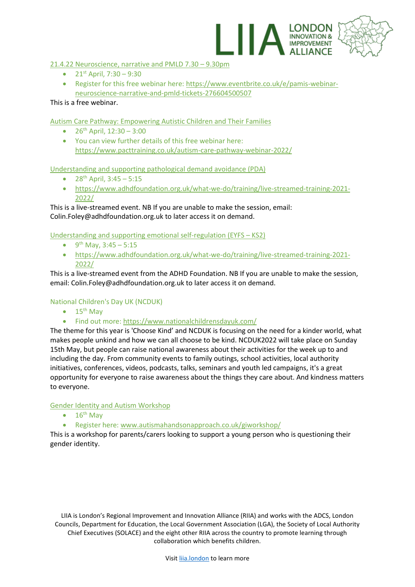

#### 21.4.22 Neuroscience, narrative and PMLD 7.30 – 9.30pm

- $21^{st}$  April,  $7:30 9:30$
- Register for this free webinar here: [https://www.eventbrite.co.uk/e/pamis-webinar](https://www.eventbrite.co.uk/e/pamis-webinar-neuroscience-narrative-and-pmld-tickets-276604500507)[neuroscience-narrative-and-pmld-tickets-276604500507](https://www.eventbrite.co.uk/e/pamis-webinar-neuroscience-narrative-and-pmld-tickets-276604500507)

This is a free webinar.

Autism Care Pathway: Empowering Autistic Children and Their Families

- $26^{th}$  April,  $12:30 3:00$
- You can view further details of this free webinar here: <https://www.pacttraining.co.uk/autism-care-pathway-webinar-2022/>

Understanding and supporting pathological demand avoidance (PDA)

- $28^{th}$  April,  $3:45 5:15$
- [https://www.adhdfoundation.org.uk/what-we-do/training/live-streamed-training-2021-](https://www.adhdfoundation.org.uk/what-we-do/training/live-streamed-training-2021-2022/) [2022/](https://www.adhdfoundation.org.uk/what-we-do/training/live-streamed-training-2021-2022/)

This is a live-streamed event. NB If you are unable to make the session, email: Colin.Foley@adhdfoundation.org.uk to later access it on demand.

Understanding and supporting emotional self-regulation (EYFS – KS2)

- 9<sup>th</sup> May, 3:45 5:15
- [https://www.adhdfoundation.org.uk/what-we-do/training/live-streamed-training-2021-](https://www.adhdfoundation.org.uk/what-we-do/training/live-streamed-training-2021-2022/) [2022/](https://www.adhdfoundation.org.uk/what-we-do/training/live-streamed-training-2021-2022/)

This is a live-streamed event from the ADHD Foundation. NB If you are unable to make the session, email: Colin.Foley@adhdfoundation.org.uk to later access it on demand.

#### National Children's Day UK (NCDUK)

- $\bullet$  15<sup>th</sup> May
- Find out more[: https://www.nationalchildrensdayuk.com/](https://www.nationalchildrensdayuk.com/)

The theme for this year is 'Choose Kind' and NCDUK is focusing on the need for a kinder world, what makes people unkind and how we can all choose to be kind. NCDUK2022 will take place on Sunday 15th May, but people can raise national awareness about their activities for the week up to and including the day. From community events to family outings, school activities, local authority initiatives, conferences, videos, podcasts, talks, seminars and youth led campaigns, it's a great opportunity for everyone to raise awareness about the things they care about. And kindness matters to everyone.

#### Gender Identity and Autism Workshop

- $\bullet$  16<sup>th</sup> May
- Register here: [www.autismahandsonapproach.co.uk/giworkshop/](http://www.autismahandsonapproach.co.uk/giworkshop/)

This is a workshop for parents/carers looking to support a young person who is questioning their gender identity.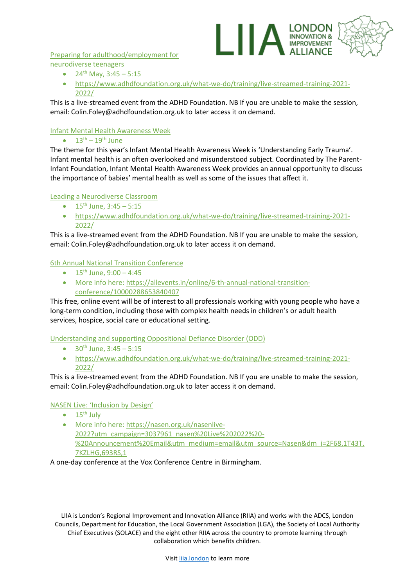Preparing for adulthood/employment for neurodiverse teenagers

- $24^{th}$  May,  $3:45 5:15$
- [https://www.adhdfoundation.org.uk/what-we-do/training/live-streamed-training-2021-](https://www.adhdfoundation.org.uk/what-we-do/training/live-streamed-training-2021-2022/) [2022/](https://www.adhdfoundation.org.uk/what-we-do/training/live-streamed-training-2021-2022/)

I A LONDON

This is a live-streamed event from the ADHD Foundation. NB If you are unable to make the session, email: Colin.Foley@adhdfoundation.org.uk to later access it on demand.

#### Infant Mental Health Awareness Week

#### •  $13<sup>th</sup> - 19<sup>th</sup>$  June

The theme for this year's Infant Mental Health Awareness Week is 'Understanding Early Trauma'. Infant mental health is an often overlooked and misunderstood subject. Coordinated by The Parent-Infant Foundation, Infant Mental Health Awareness Week provides an annual opportunity to discuss the importance of babies' mental health as well as some of the issues that affect it.

#### Leading a Neurodiverse Classroom

- $15^{th}$  June,  $3:45 5:15$
- [https://www.adhdfoundation.org.uk/what-we-do/training/live-streamed-training-2021-](https://www.adhdfoundation.org.uk/what-we-do/training/live-streamed-training-2021-2022/) [2022/](https://www.adhdfoundation.org.uk/what-we-do/training/live-streamed-training-2021-2022/)

This is a live-streamed event from the ADHD Foundation. NB If you are unable to make the session, email: Colin.Foley@adhdfoundation.org.uk to later access it on demand.

#### 6th Annual National Transition Conference

- $15^{th}$  June,  $9:00 4:45$
- More info here: [https://allevents.in/online/6-th-annual-national-transition](https://allevents.in/online/6-th-annual-national-transition-conference/10000288653840407)[conference/10000288653840407](https://allevents.in/online/6-th-annual-national-transition-conference/10000288653840407)

This free, online event will be of interest to all professionals working with young people who have a long-term condition, including those with complex health needs in children's or adult health services, hospice, social care or educational setting.

Understanding and supporting Oppositional Defiance Disorder (ODD)

- $30^{th}$  June,  $3:45 5:15$
- [https://www.adhdfoundation.org.uk/what-we-do/training/live-streamed-training-2021-](https://www.adhdfoundation.org.uk/what-we-do/training/live-streamed-training-2021-2022/) [2022/](https://www.adhdfoundation.org.uk/what-we-do/training/live-streamed-training-2021-2022/)

This is a live-streamed event from the ADHD Foundation. NB If you are unable to make the session, email: Colin.Foley@adhdfoundation.org.uk to later access it on demand.

#### NASEN Live: 'Inclusion by Design'

- $\bullet$  15<sup>th</sup> July
- More info here: [https://nasen.org.uk/nasenlive-](https://nasen.org.uk/nasenlive-2022?utm_campaign=3037961_nasen%20Live%202022%20-%20Announcement%20Email&utm_medium=email&utm_source=Nasen&dm_i=2F68,1T43T,7KZLHG,693RS,1)[2022?utm\\_campaign=3037961\\_nasen%20Live%202022%20-](https://nasen.org.uk/nasenlive-2022?utm_campaign=3037961_nasen%20Live%202022%20-%20Announcement%20Email&utm_medium=email&utm_source=Nasen&dm_i=2F68,1T43T,7KZLHG,693RS,1) [%20Announcement%20Email&utm\\_medium=email&utm\\_source=Nasen&dm\\_i=2F68,1T43T,](https://nasen.org.uk/nasenlive-2022?utm_campaign=3037961_nasen%20Live%202022%20-%20Announcement%20Email&utm_medium=email&utm_source=Nasen&dm_i=2F68,1T43T,7KZLHG,693RS,1) [7KZLHG,693RS,1](https://nasen.org.uk/nasenlive-2022?utm_campaign=3037961_nasen%20Live%202022%20-%20Announcement%20Email&utm_medium=email&utm_source=Nasen&dm_i=2F68,1T43T,7KZLHG,693RS,1)

#### A one-day conference at the Vox Conference Centre in Birmingham.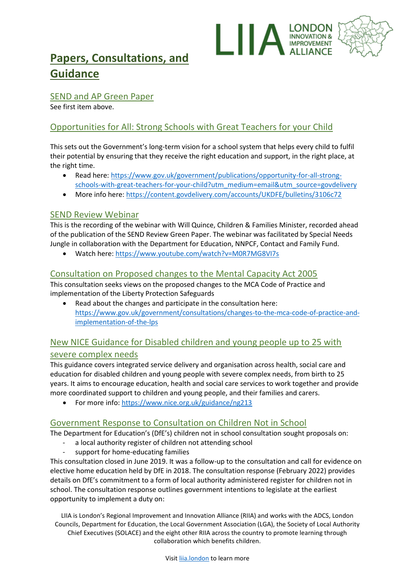

## **Papers, Consultations, and Guidance**

### SEND and AP Green Paper

See first item above.

## Opportunities for All: Strong Schools with Great Teachers for your Child

This sets out the Government's long-term vision for a school system that helps every child to fulfil their potential by ensuring that they receive the right education and support, in the right place, at the right time.

- Read here: [https://www.gov.uk/government/publications/opportunity-for-all-strong](https://www.gov.uk/government/publications/opportunity-for-all-strong-schools-with-great-teachers-for-your-child?utm_medium=email&utm_source=govdelivery)[schools-with-great-teachers-for-your-child?utm\\_medium=email&utm\\_source=govdelivery](https://www.gov.uk/government/publications/opportunity-for-all-strong-schools-with-great-teachers-for-your-child?utm_medium=email&utm_source=govdelivery)
- More info here:<https://content.govdelivery.com/accounts/UKDFE/bulletins/3106c72>

### SEND Review Webinar

This is the recording of the webinar with Will Quince, Children & Families Minister, recorded ahead of the publication of the SEND Review Green Paper. The webinar was facilitated by Special Needs Jungle in collaboration with the Department for Education, NNPCF, Contact and Family Fund.

• Watch here[: https://www.youtube.com/watch?v=M0R7MG8VI7s](https://www.youtube.com/watch?v=M0R7MG8VI7s)

### Consultation on Proposed changes to the Mental Capacity Act 2005

This consultation seeks views on the proposed changes to the MCA Code of Practice and implementation of the Liberty Protection Safeguards

Read about the changes and participate in the consultation here: [https://www.gov.uk/government/consultations/changes-to-the-mca-code-of-practice-and](https://www.gov.uk/government/consultations/changes-to-the-mca-code-of-practice-and-implementation-of-the-lps)[implementation-of-the-lps](https://www.gov.uk/government/consultations/changes-to-the-mca-code-of-practice-and-implementation-of-the-lps)

## New NICE Guidance for Disabled children and young people up to 25 with severe complex needs

This guidance covers integrated service delivery and organisation across health, social care and education for disabled children and young people with severe complex needs, from birth to 25 years. It aims to encourage education, health and social care services to work together and provide more coordinated support to children and young people, and their families and carers.

• For more info[: https://www.nice.org.uk/guidance/ng213](https://www.nice.org.uk/guidance/ng213)

### Government Response to Consultation on Children Not in School

The Department for Education's (DfE's) children not in school consultation sought proposals on:

- a local authority register of children not attending school
- support for home-educating families

This consultation closed in June 2019. It was a follow-up to the consultation and call for evidence on elective home education held by DfE in 2018. The consultation response (February 2022) provides details on DfE's commitment to a form of local authority administered register for children not in school. The consultation response outlines government intentions to legislate at the earliest opportunity to implement a duty on: